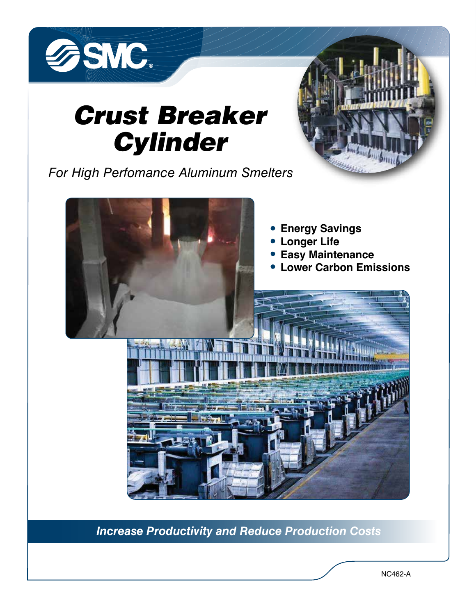

# *Crust Breaker Cylinder*

*For High Perfomance Aluminum Smelters*



*Increase Productivity and Reduce Production Costs*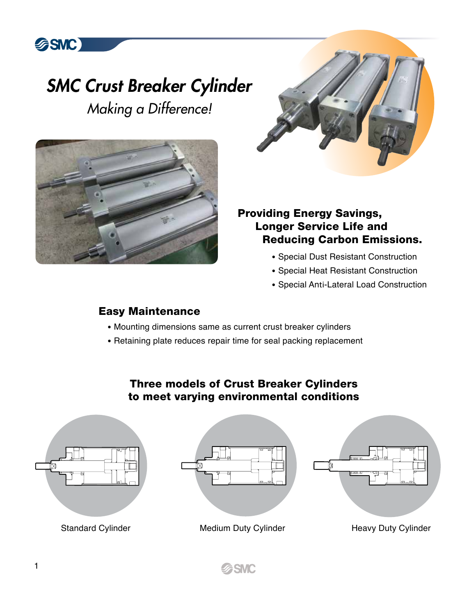## *SMC Crust Breaker Cylinder Making a Difference!*



**多SMC** 

### Providing Energy Savings, Longer Service Life and Reducing Carbon Emissions.

- Special Dust Resistant Construction
- Special Heat Resistant Construction
- Special Anti‐Lateral Load Construction

### Easy Maintenance

- Mounting dimensions same as current crust breaker cylinders
- Retaining plate reduces repair time for seal packing replacement

## Three models of Crust Breaker Cylinders to meet varying environmental conditions



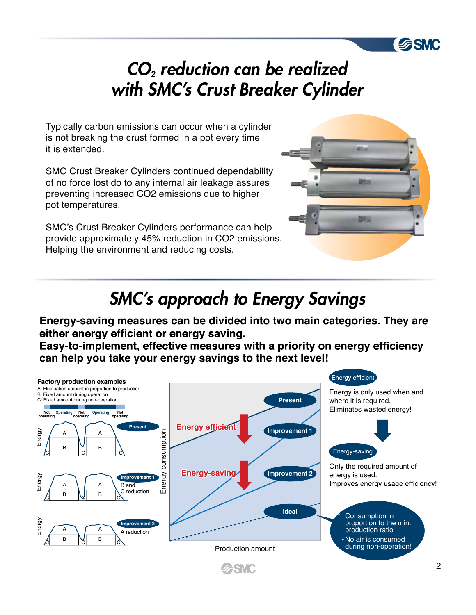## *CO2 reduction can be realized with SMC's Crust Breaker Cylinder*

Typically carbon emissions can occur when a cylinder is not breaking the crust formed in a pot every time it is extended.

SMC Crust Breaker Cylinders continued dependability of no force lost do to any internal air leakage assures preventing increased CO2 emissions due to higher pot temperatures.

SMC's Crust Breaker Cylinders performance can help provide approximately 45% reduction in CO2 emissions. Helping the environment and reducing costs.



**SMC** 

## *SMC's approach to Energy Savings*

**Energy-saving measures can be divided into two main categories. They are** 

Easy-to-implement, effective measures with a priority on energy efficiency **can help you take your energy savings to the next level!**